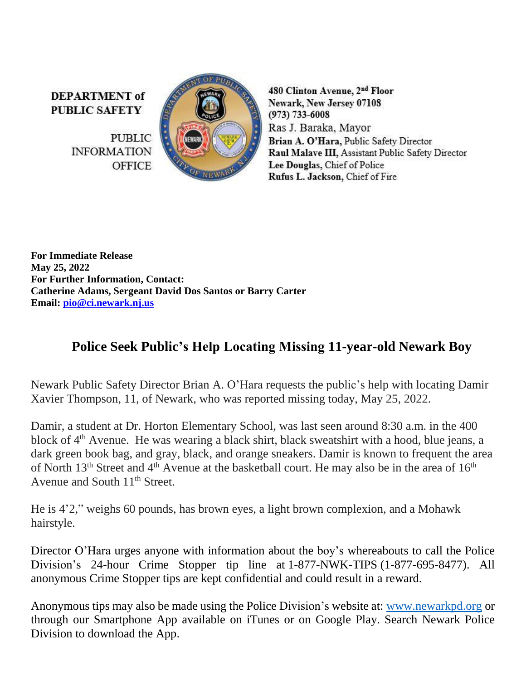**DEPARTMENT** of **PUBLIC SAFETY** 

> **PUBLIC INFORMATION OFFICE**



480 Clinton Avenue, 2<sup>nd</sup> Floor Newark, New Jersey 07108  $(973) 733 - 6008$ Ras J. Baraka, Mayor Brian A. O'Hara, Public Safety Director Raul Malave III, Assistant Public Safety Director Lee Douglas, Chief of Police Rufus L. Jackson, Chief of Fire

**For Immediate Release May 25, 2022 For Further Information, Contact: Catherine Adams, Sergeant David Dos Santos or Barry Carter Email: [pio@ci.newark.nj.us](mailto:pio@ci.newark.nj.us)**

## **Police Seek Public's Help Locating Missing 11-year-old Newark Boy**

Newark Public Safety Director Brian A. O'Hara requests the public's help with locating Damir Xavier Thompson, 11, of Newark, who was reported missing today, May 25, 2022.

Damir, a student at Dr. Horton Elementary School, was last seen around 8:30 a.m. in the 400 block of 4<sup>th</sup> Avenue. He was wearing a black shirt, black sweatshirt with a hood, blue jeans, a dark green book bag, and gray, black, and orange sneakers. Damir is known to frequent the area of North 13<sup>th</sup> Street and 4<sup>th</sup> Avenue at the basketball court. He may also be in the area of 16<sup>th</sup> Avenue and South 11<sup>th</sup> Street.

He is 4'2," weighs 60 pounds, has brown eyes, a light brown complexion, and a Mohawk hairstyle.

Director O'Hara urges anyone with information about the boy's whereabouts to call the Police Division's 24-hour Crime Stopper tip line at 1-877-NWK-TIPS (1-877-695-8477). All anonymous Crime Stopper tips are kept confidential and could result in a reward.

Anonymous tips may also be made using the Police Division's website at: [www.newarkpd.org](https://nam11.safelinks.protection.outlook.com/?url=http%3A%2F%2Fwww.newarkpd.org%2F&data=04%7C01%7Ccarterba%40ci.newark.nj.us%7C7f477c2476944cf9e4b808d9db846f99%7C24883a20af7b4ead9b4c900a20da8933%7C0%7C0%7C637782184386480727%7CUnknown%7CTWFpbGZsb3d8eyJWIjoiMC4wLjAwMDAiLCJQIjoiV2luMzIiLCJBTiI6Ik1haWwiLCJXVCI6Mn0%3D%7C3000&sdata=ldy9QMc1PLfPf3SwjtBW9VE2jnUeEZIf9WzSan%2BPkos%3D&reserved=0) or through our Smartphone App available on iTunes or on Google Play. Search Newark Police Division to download the App.